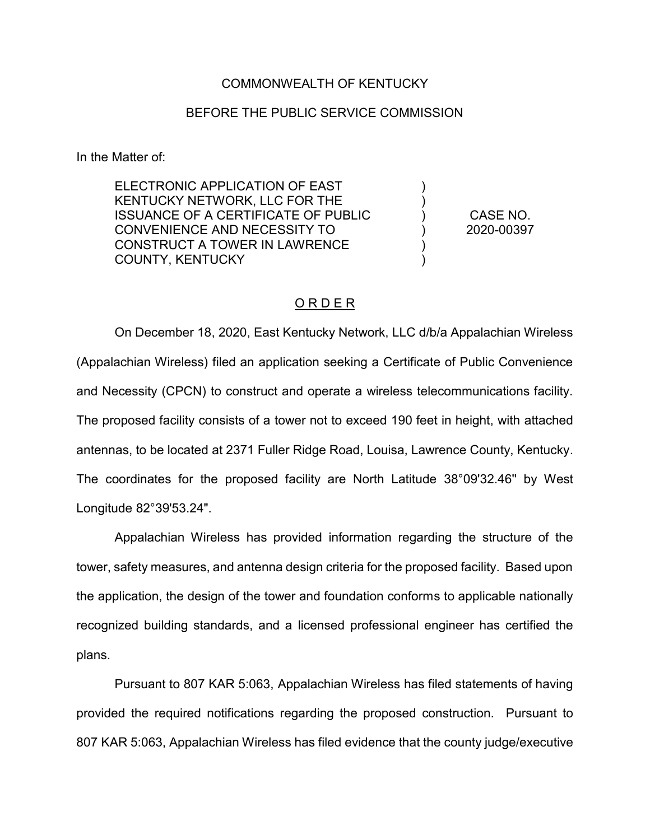## COMMONWEALTH OF KENTUCKY

## BEFORE THE PUBLIC SERVICE COMMISSION

In the Matter of:

ELECTRONIC APPLICATION OF EAST KENTUCKY NETWORK, LLC FOR THE ISSUANCE OF A CERTIFICATE OF PUBLIC CONVENIENCE AND NECESSITY TO CONSTRUCT A TOWER IN LAWRENCE COUNTY, KENTUCKY

CASE NO. 2020-00397

) ) ) ) ) )

## O R D E R

On December 18, 2020, East Kentucky Network, LLC d/b/a Appalachian Wireless (Appalachian Wireless) filed an application seeking a Certificate of Public Convenience and Necessity (CPCN) to construct and operate a wireless telecommunications facility. The proposed facility consists of a tower not to exceed 190 feet in height, with attached antennas, to be located at 2371 Fuller Ridge Road, Louisa, Lawrence County, Kentucky. The coordinates for the proposed facility are North Latitude 38°09'32.46'' by West Longitude 82°39'53.24".

Appalachian Wireless has provided information regarding the structure of the tower, safety measures, and antenna design criteria for the proposed facility. Based upon the application, the design of the tower and foundation conforms to applicable nationally recognized building standards, and a licensed professional engineer has certified the plans.

Pursuant to 807 KAR 5:063, Appalachian Wireless has filed statements of having provided the required notifications regarding the proposed construction. Pursuant to 807 KAR 5:063, Appalachian Wireless has filed evidence that the county judge/executive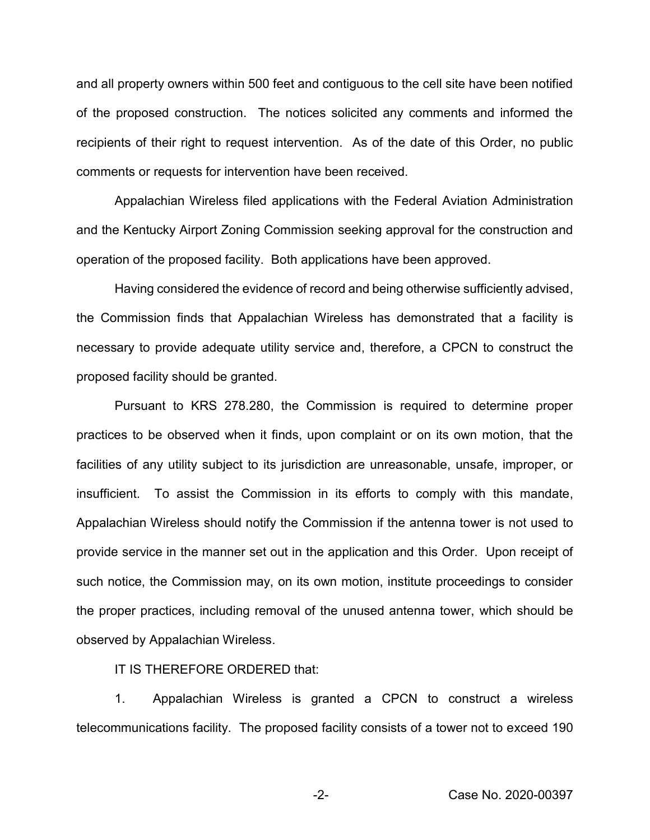and all property owners within 500 feet and contiguous to the cell site have been notified of the proposed construction. The notices solicited any comments and informed the recipients of their right to request intervention. As of the date of this Order, no public comments or requests for intervention have been received.

Appalachian Wireless filed applications with the Federal Aviation Administration and the Kentucky Airport Zoning Commission seeking approval for the construction and operation of the proposed facility. Both applications have been approved.

Having considered the evidence of record and being otherwise sufficiently advised, the Commission finds that Appalachian Wireless has demonstrated that a facility is necessary to provide adequate utility service and, therefore, a CPCN to construct the proposed facility should be granted.

Pursuant to KRS 278.280, the Commission is required to determine proper practices to be observed when it finds, upon complaint or on its own motion, that the facilities of any utility subject to its jurisdiction are unreasonable, unsafe, improper, or insufficient. To assist the Commission in its efforts to comply with this mandate, Appalachian Wireless should notify the Commission if the antenna tower is not used to provide service in the manner set out in the application and this Order. Upon receipt of such notice, the Commission may, on its own motion, institute proceedings to consider the proper practices, including removal of the unused antenna tower, which should be observed by Appalachian Wireless.

IT IS THEREFORE ORDERED that:

1. Appalachian Wireless is granted a CPCN to construct a wireless telecommunications facility. The proposed facility consists of a tower not to exceed 190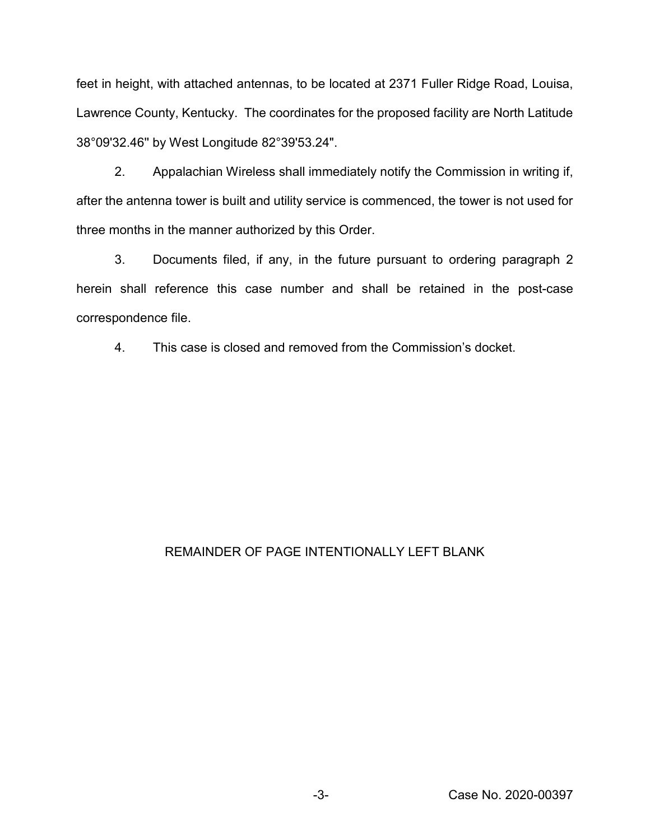feet in height, with attached antennas, to be located at 2371 Fuller Ridge Road, Louisa, Lawrence County, Kentucky. The coordinates for the proposed facility are North Latitude 38°09'32.46'' by West Longitude 82°39'53.24".

2. Appalachian Wireless shall immediately notify the Commission in writing if, after the antenna tower is built and utility service is commenced, the tower is not used for three months in the manner authorized by this Order.

3. Documents filed, if any, in the future pursuant to ordering paragraph 2 herein shall reference this case number and shall be retained in the post-case correspondence file.

4. This case is closed and removed from the Commission's docket.

## REMAINDER OF PAGE INTENTIONALLY LEFT BLANK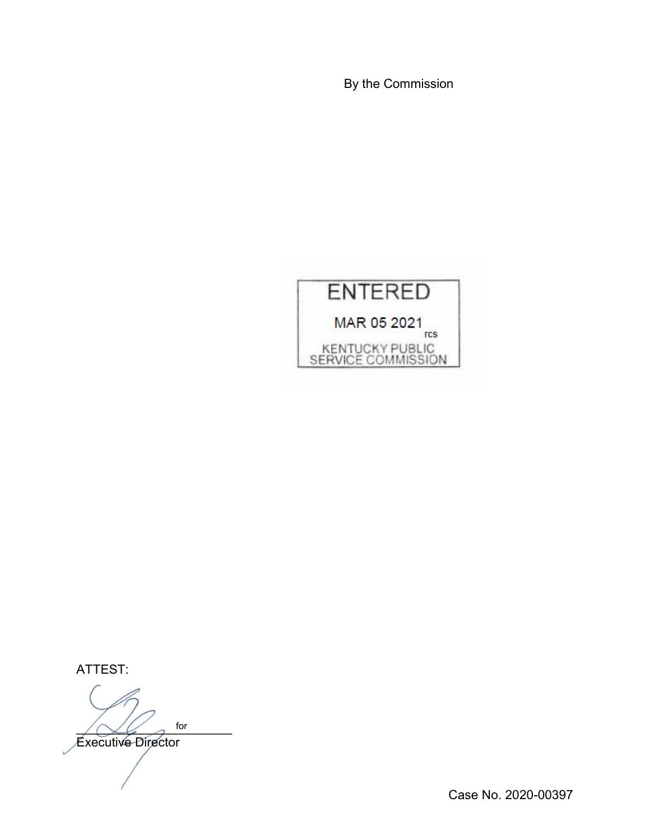By the Commission



ATTEST:

 $\bigwedge \bigvee \bigvee$  for for

Executive Director

Case No. 2020-00397